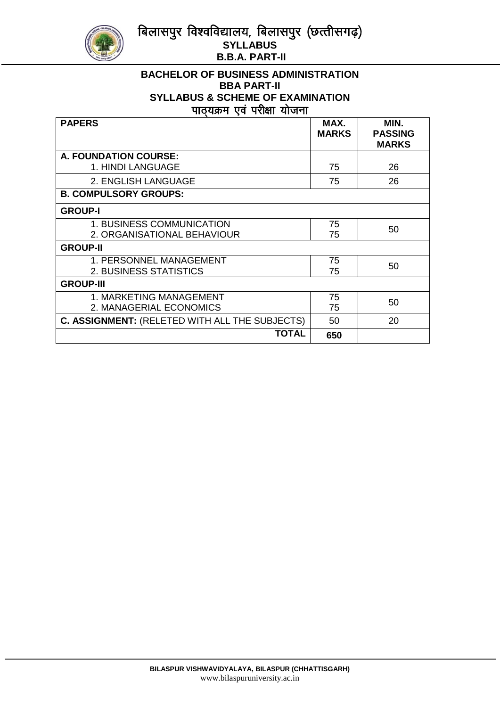बिलासपुर विश्वविद्यालय, बिलासपुर (छत्तीसगढ़) **SYLLABUS B.B.A. PART-II** 



#### **BACHELOR OF BUSINESS ADMINISTRATION BBA PART-II SYLLABUS & SCHEME OF EXAMINATION** पाठयक्रम एवं परीक्षा योजना

| <b>PAPERS</b>                                  | MAX.<br><b>MARKS</b> | MIN.<br><b>PASSING</b><br><b>MARKS</b> |
|------------------------------------------------|----------------------|----------------------------------------|
| A. FOUNDATION COURSE:                          |                      |                                        |
| 1. HINDI LANGUAGE                              | 75                   | 26                                     |
| 2. ENGLISH LANGUAGE                            | 75                   | 26                                     |
| <b>B. COMPULSORY GROUPS:</b>                   |                      |                                        |
| <b>GROUP-I</b>                                 |                      |                                        |
| 1. BUSINESS COMMUNICATION                      | 75                   | 50                                     |
| 2. ORGANISATIONAL BEHAVIOUR                    | 75                   |                                        |
| <b>GROUP-II</b>                                |                      |                                        |
| 1. PERSONNEL MANAGEMENT                        | 75                   | 50                                     |
| 2. BUSINESS STATISTICS                         | 75                   |                                        |
| <b>GROUP-III</b>                               |                      |                                        |
| 1. MARKETING MANAGEMENT                        | 75                   | 50                                     |
| 2. MANAGERIAL ECONOMICS                        | 75                   |                                        |
| C. ASSIGNMENT: (RELETED WITH ALL THE SUBJECTS) | 50                   | 20                                     |
| TOTAL                                          | 650                  |                                        |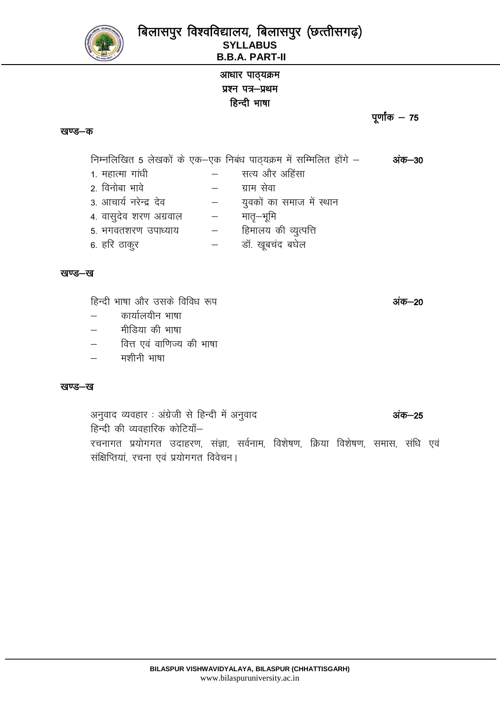

# आधार पाठ्यक्रम प्रश्न पत्र-प्रथम हिन्दी भाषा

#### खण्ड-क

निम्नलिखित 5 लेखकों के एक-एक निबंध पाठ्यक्रम में सम्मिलित होंगे -अंक–30 सत्य और अहिंसा 1. महात्मा गांधी  $\equiv$ 2. विनोबा भावे ग्राम सेवा  $\equiv$ 3. आचार्य नरेन्द्र देव युवकों का समाज में स्थान  $\overline{\phantom{0}}$ 4. वासुदेव शरण अग्रवाल मातृ—भूमि  $\overline{\phantom{m}}$ हिमालय की व्यूत्पत्ति 5. भगवतशरण उपाध्याय  $\frac{1}{2}$ डॉ. खुबचंद बघेल 6. हरि ठाकूर  $\equiv$ 

#### खण्ड—ख

हिन्दी भाषा और उसके विविध रूप

- कार्यालयीन भाषा
- मीडिया की भाषा
- वित्त एवं वाणिज्य की भाषा
- मशीनी भाषा

#### खण्ड—ख

अनुवाद व्यवहार : अंग्रेजी से हिन्दी में अनुवाद अंक–25 हिन्दी की व्यवहारिक कोटियाँ– रचनागत प्रयोगगत उदाहरण, संज्ञा, सर्वनाम, विशेषण, क्रिया विशेषण, समास, संधि एवं संक्षिप्तियां, रचना एवं प्रयोगगत विवेचन।

अंक–20

पूर्णांक  $-75$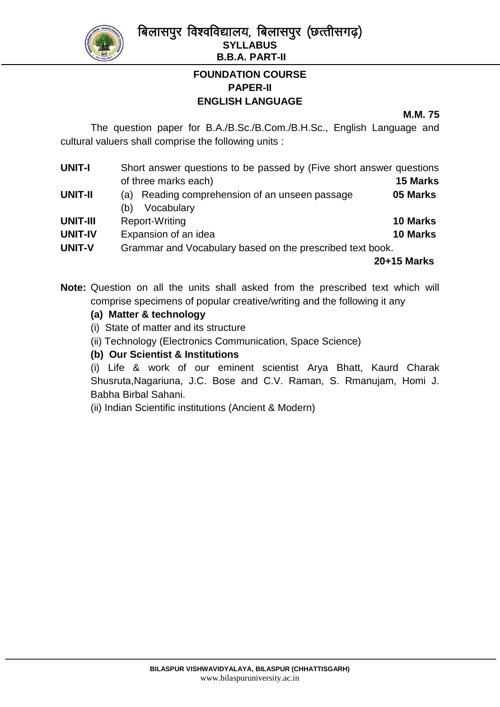

बिलासपुर विश्वविद्यालय, बिलासपुर (छत्तीसगढ़) **SYLLABUS B.B.A. PART-II**

# **FOUNDATION COURSE PAPER-II ENGLISH LANGUAGE**

#### **M.M. 75**

The question paper for B.A./B.Sc./B.Com./B.H.Sc., English Language and cultural valuers shall comprise the following units :

| <b>UNIT-I</b>   | Short answer questions to be passed by (Five short answer questions |                 |  |
|-----------------|---------------------------------------------------------------------|-----------------|--|
|                 | of three marks each)                                                | <b>15 Marks</b> |  |
| <b>UNIT-II</b>  | Reading comprehension of an unseen passage<br>(a)                   | 05 Marks        |  |
|                 | Vocabulary<br>(b)                                                   |                 |  |
| <b>UNIT-III</b> | Report-Writing                                                      | <b>10 Marks</b> |  |
| <b>UNIT-IV</b>  | Expansion of an idea                                                | <b>10 Marks</b> |  |
| <b>UNIT-V</b>   | Grammar and Vocabulary based on the prescribed text book.           |                 |  |
|                 |                                                                     | 20+15 Marks     |  |

**Note:** Question on all the units shall asked from the prescribed text which will comprise specimens of popular creative/writing and the following it any

# **(a) Matter & technology**

- (i) State of matter and its structure
- (ii) Technology (Electronics Communication, Space Science)

# **(b) Our Scientist & Institutions**

(i) Life & work of our eminent scientist Arya Bhatt, Kaurd Charak Shusruta,Nagariuna, J.C. Bose and C.V. Raman, S. Rmanujam, Homi J. Babha Birbal Sahani.

(ii) Indian Scientific institutions (Ancient & Modern)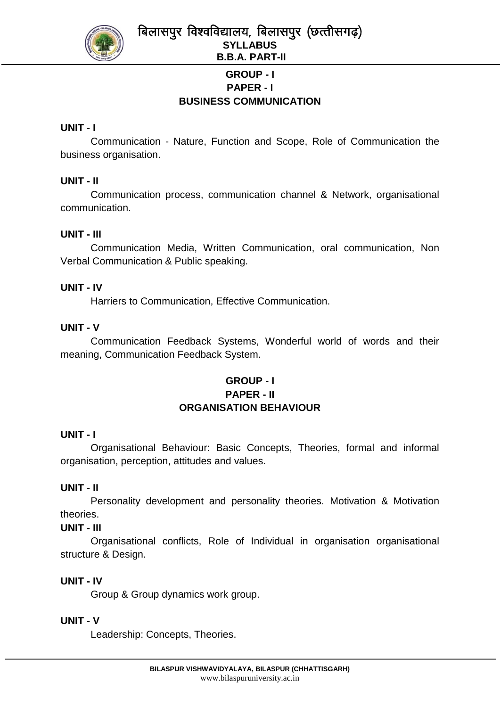

# **GROUP - I PAPER - I BUSINESS COMMUNICATION**

# **UNIT - I**

Communication - Nature, Function and Scope, Role of Communication the business organisation.

# **UNIT - II**

Communication process, communication channel & Network, organisational communication.

# **UNIT - III**

Communication Media, Written Communication, oral communication, Non Verbal Communication & Public speaking.

# **UNIT - IV**

Harriers to Communication, Effective Communication.

# **UNIT - V**

Communication Feedback Systems, Wonderful world of words and their meaning, Communication Feedback System.

# **GROUP - I PAPER - II ORGANISATION BEHAVIOUR**

# **UNIT - I**

Organisational Behaviour: Basic Concepts, Theories, formal and informal organisation, perception, attitudes and values.

# **UNIT - II**

Personality development and personality theories. Motivation & Motivation theories.

# **UNIT - III**

Organisational conflicts, Role of Individual in organisation organisational structure & Design.

# **UNIT - IV**

Group & Group dynamics work group.

# **UNIT - V**

Leadership: Concepts, Theories.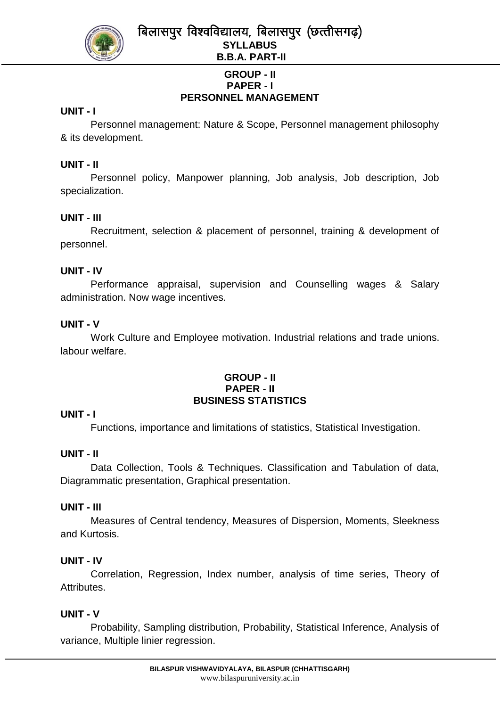

बिलासपुर विश्वविद्यालय, बिलासपुर (छत्तीसगढ़) **SYLLABUS B.B.A. PART-II**

# **GROUP - II PAPER - I PERSONNEL MANAGEMENT**

## **UNIT - I**

Personnel management: Nature & Scope, Personnel management philosophy & its development.

## **UNIT - II**

Personnel policy, Manpower planning, Job analysis, Job description, Job specialization.

## **UNIT - III**

Recruitment, selection & placement of personnel, training & development of personnel.

## **UNIT - IV**

Performance appraisal, supervision and Counselling wages & Salary administration. Now wage incentives.

## **UNIT - V**

Work Culture and Employee motivation. Industrial relations and trade unions. labour welfare.

#### **GROUP - II PAPER - II BUSINESS STATISTICS**

# **UNIT - I**

Functions, importance and limitations of statistics, Statistical Investigation.

#### **UNIT - II**

Data Collection, Tools & Techniques. Classification and Tabulation of data, Diagrammatic presentation, Graphical presentation.

#### **UNIT - III**

Measures of Central tendency, Measures of Dispersion, Moments, Sleekness and Kurtosis.

# **UNIT - IV**

Correlation, Regression, Index number, analysis of time series, Theory of Attributes.

#### **UNIT - V**

Probability, Sampling distribution, Probability, Statistical Inference, Analysis of variance, Multiple linier regression.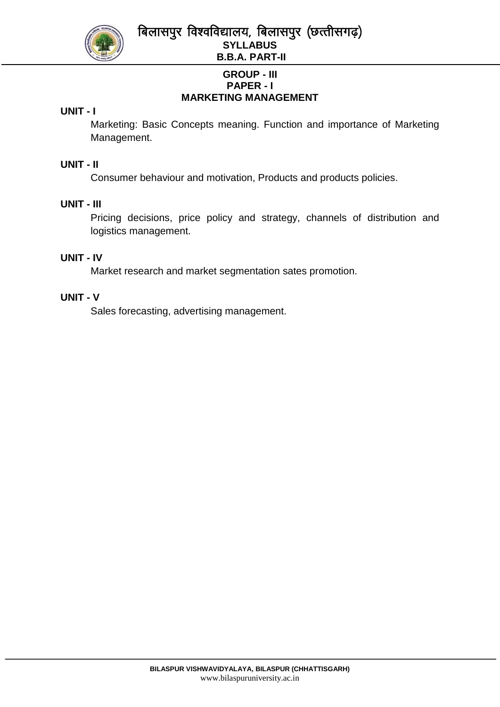

बिलासपुर विश्वविद्यालय, बिलासपुर (छत्तीसगढ़) **SYLLABUS B.B.A. PART-II**

# **GROUP - III PAPER - I MARKETING MANAGEMENT**

## **UNIT - I**

Marketing: Basic Concepts meaning. Function and importance of Marketing Management.

#### **UNIT - II**

Consumer behaviour and motivation, Products and products policies.

## **UNIT - III**

Pricing decisions, price policy and strategy, channels of distribution and logistics management.

#### **UNIT - IV**

Market research and market segmentation sates promotion.

#### **UNIT - V**

Sales forecasting, advertising management.